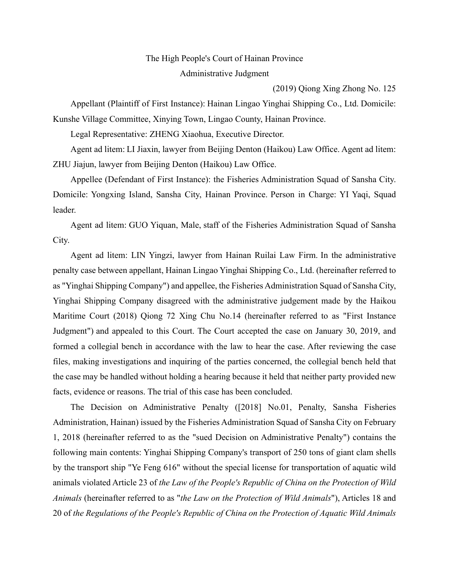## The High People's Court of Hainan Province Administrative Judgment

(2019) Qiong Xing Zhong No. 125

Appellant (Plaintiff of First Instance): Hainan Lingao Yinghai Shipping Co., Ltd. Domicile: Kunshe Village Committee, Xinying Town, Lingao County, Hainan Province.

Legal Representative: ZHENG Xiaohua, Executive Director.

Agent ad litem: LI Jiaxin, lawyer from Beijing Denton (Haikou) Law Office. Agent ad litem: ZHU Jiajun, lawyer from Beijing Denton (Haikou) Law Office.

Appellee (Defendant of First Instance): the Fisheries Administration Squad of Sansha City. Domicile: Yongxing Island, Sansha City, Hainan Province. Person in Charge: YI Yaqi, Squad leader.

Agent ad litem: GUO Yiquan, Male, staff of the Fisheries Administration Squad of Sansha City.

Agent ad litem: LIN Yingzi, lawyer from Hainan Ruilai Law Firm. In the administrative penalty case between appellant, Hainan Lingao Yinghai Shipping Co., Ltd. (hereinafter referred to as "Yinghai Shipping Company") and appellee, the Fisheries Administration Squad of Sansha City, Yinghai Shipping Company disagreed with the administrative judgement made by the Haikou Maritime Court (2018) Qiong 72 Xing Chu No.14 (hereinafter referred to as "First Instance Judgment") and appealed to this Court. The Court accepted the case on January 30, 2019, and formed a collegial bench in accordance with the law to hear the case. After reviewing the case files, making investigations and inquiring of the parties concerned, the collegial bench held that the case may be handled without holding a hearing because it held that neither party provided new facts, evidence or reasons. The trial of this case has been concluded.

The Decision on Administrative Penalty ([2018] No.01, Penalty, Sansha Fisheries Administration, Hainan) issued by the Fisheries Administration Squad of Sansha City on February 1, 2018 (hereinafter referred to as the "sued Decision on Administrative Penalty") contains the following main contents: Yinghai Shipping Company's transport of 250 tons of giant clam shells by the transport ship "Ye Feng 616" without the special license for transportation of aquatic wild animals violated Article 23 of *the Law of the People's Republic of China on the Protection of Wild Animals* (hereinafter referred to as "*the Law on the Protection of Wild Animals*"), Articles 18 and 20 of *the Regulations of the People's Republic of China on the Protection of Aquatic Wild Animals*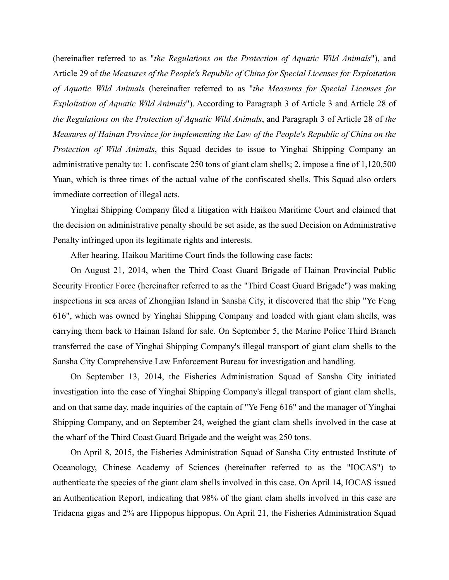(hereinafter referred to as "*the Regulations on the Protection of Aquatic Wild Animals*"), and Article 29 of *the Measures of the People's Republic of China for Special Licenses for Exploitation of Aquatic Wild Animals* (hereinafter referred to as "*the Measures for Special Licenses for Exploitation of Aquatic Wild Animals*"). According to Paragraph 3 of Article 3 and Article 28 of *the Regulations on the Protection of Aquatic Wild Animals*, and Paragraph 3 of Article 28 of *the Measures of Hainan Province for implementing the Law of the People's Republic of China on the Protection of Wild Animals*, this Squad decides to issue to Yinghai Shipping Company an administrative penalty to: 1. confiscate 250 tons of giant clam shells; 2. impose a fine of 1,120,500 Yuan, which is three times of the actual value of the confiscated shells. This Squad also orders immediate correction of illegal acts.

Yinghai Shipping Company filed a litigation with Haikou Maritime Court and claimed that the decision on administrative penalty should be set aside, as the sued Decision on Administrative Penalty infringed upon its legitimate rights and interests.

After hearing, Haikou Maritime Court finds the following case facts:

On August 21, 2014, when the Third Coast Guard Brigade of Hainan Provincial Public Security Frontier Force (hereinafter referred to as the "Third Coast Guard Brigade") was making inspections in sea areas of Zhongjian Island in Sansha City, it discovered that the ship "Ye Feng 616", which was owned by Yinghai Shipping Company and loaded with giant clam shells, was carrying them back to Hainan Island for sale. On September 5, the Marine Police Third Branch transferred the case of Yinghai Shipping Company's illegal transport of giant clam shells to the Sansha City Comprehensive Law Enforcement Bureau for investigation and handling.

On September 13, 2014, the Fisheries Administration Squad of Sansha City initiated investigation into the case of Yinghai Shipping Company's illegal transport of giant clam shells, and on that same day, made inquiries of the captain of "Ye Feng 616" and the manager of Yinghai Shipping Company, and on September 24, weighed the giant clam shells involved in the case at the wharf of the Third Coast Guard Brigade and the weight was 250 tons.

On April 8, 2015, the Fisheries Administration Squad of Sansha City entrusted Institute of Oceanology, Chinese Academy of Sciences (hereinafter referred to as the "IOCAS") to authenticate the species of the giant clam shells involved in this case. On April 14, IOCAS issued an Authentication Report, indicating that 98% of the giant clam shells involved in this case are Tridacna gigas and 2% are Hippopus hippopus. On April 21, the Fisheries Administration Squad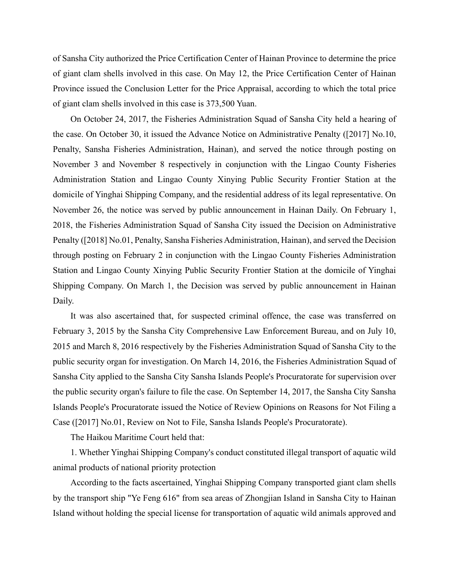of Sansha City authorized the Price Certification Center of Hainan Province to determine the price of giant clam shells involved in this case. On May 12, the Price Certification Center of Hainan Province issued the Conclusion Letter for the Price Appraisal, according to which the total price of giant clam shells involved in this case is 373,500 Yuan.

On October 24, 2017, the Fisheries Administration Squad of Sansha City held a hearing of the case. On October 30, it issued the Advance Notice on Administrative Penalty ([2017] No.10, Penalty, Sansha Fisheries Administration, Hainan), and served the notice through posting on November 3 and November 8 respectively in conjunction with the Lingao County Fisheries Administration Station and Lingao County Xinying Public Security Frontier Station at the domicile of Yinghai Shipping Company, and the residential address of its legal representative. On November 26, the notice was served by public announcement in Hainan Daily. On February 1, 2018, the Fisheries Administration Squad of Sansha City issued the Decision on Administrative Penalty ([2018] No.01, Penalty, Sansha Fisheries Administration, Hainan), and served the Decision through posting on February 2 in conjunction with the Lingao County Fisheries Administration Station and Lingao County Xinying Public Security Frontier Station at the domicile of Yinghai Shipping Company. On March 1, the Decision was served by public announcement in Hainan Daily.

It was also ascertained that, for suspected criminal offence, the case was transferred on February 3, 2015 by the Sansha City Comprehensive Law Enforcement Bureau, and on July 10, 2015 and March 8, 2016 respectively by the Fisheries Administration Squad of Sansha City to the public security organ for investigation. On March 14, 2016, the Fisheries Administration Squad of Sansha City applied to the Sansha City Sansha Islands People's Procuratorate for supervision over the public security organ's failure to file the case. On September 14, 2017, the Sansha City Sansha Islands People's Procuratorate issued the Notice of Review Opinions on Reasons for Not Filing a Case ([2017] No.01, Review on Not to File, Sansha Islands People's Procuratorate).

The Haikou Maritime Court held that:

1. Whether Yinghai Shipping Company's conduct constituted illegal transport of aquatic wild animal products of national priority protection

According to the facts ascertained, Yinghai Shipping Company transported giant clam shells by the transport ship "Ye Feng 616" from sea areas of Zhongjian Island in Sansha City to Hainan Island without holding the special license for transportation of aquatic wild animals approved and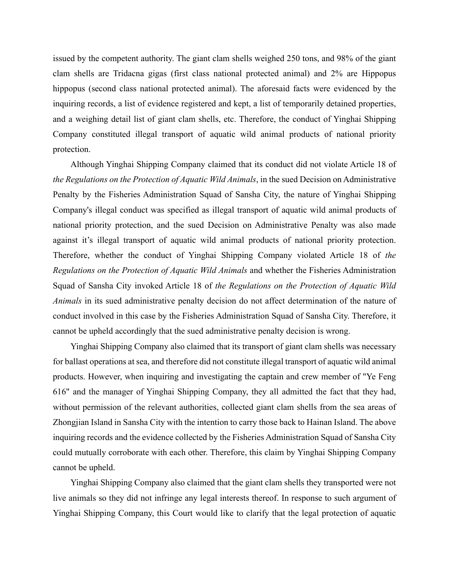issued by the competent authority. The giant clam shells weighed 250 tons, and 98% of the giant clam shells are Tridacna gigas (first class national protected animal) and 2% are Hippopus hippopus (second class national protected animal). The aforesaid facts were evidenced by the inquiring records, a list of evidence registered and kept, a list of temporarily detained properties, and a weighing detail list of giant clam shells, etc. Therefore, the conduct of Yinghai Shipping Company constituted illegal transport of aquatic wild animal products of national priority protection.

Although Yinghai Shipping Company claimed that its conduct did not violate Article 18 of *the Regulations on the Protection of Aquatic Wild Animals*, in the sued Decision on Administrative Penalty by the Fisheries Administration Squad of Sansha City, the nature of Yinghai Shipping Company's illegal conduct was specified as illegal transport of aquatic wild animal products of national priority protection, and the sued Decision on Administrative Penalty was also made against it's illegal transport of aquatic wild animal products of national priority protection. Therefore, whether the conduct of Yinghai Shipping Company violated Article 18 of *the Regulations on the Protection of Aquatic Wild Animals* and whether the Fisheries Administration Squad of Sansha City invoked Article 18 of *the Regulations on the Protection of Aquatic Wild Animals* in its sued administrative penalty decision do not affect determination of the nature of conduct involved in this case by the Fisheries Administration Squad of Sansha City. Therefore, it cannot be upheld accordingly that the sued administrative penalty decision is wrong.

Yinghai Shipping Company also claimed that its transport of giant clam shells was necessary for ballast operations at sea, and therefore did not constitute illegal transport of aquatic wild animal products. However, when inquiring and investigating the captain and crew member of "Ye Feng 616" and the manager of Yinghai Shipping Company, they all admitted the fact that they had, without permission of the relevant authorities, collected giant clam shells from the sea areas of Zhongjian Island in Sansha City with the intention to carry those back to Hainan Island. The above inquiring records and the evidence collected by the Fisheries Administration Squad of Sansha City could mutually corroborate with each other. Therefore, this claim by Yinghai Shipping Company cannot be upheld.

Yinghai Shipping Company also claimed that the giant clam shells they transported were not live animals so they did not infringe any legal interests thereof. In response to such argument of Yinghai Shipping Company, this Court would like to clarify that the legal protection of aquatic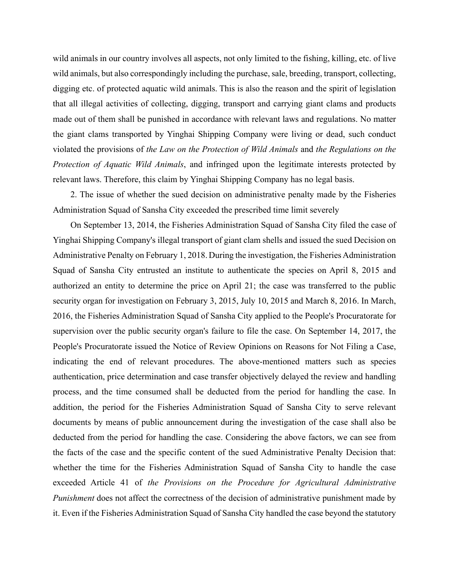wild animals in our country involves all aspects, not only limited to the fishing, killing, etc. of live wild animals, but also correspondingly including the purchase, sale, breeding, transport, collecting, digging etc. of protected aquatic wild animals. This is also the reason and the spirit of legislation that all illegal activities of collecting, digging, transport and carrying giant clams and products made out of them shall be punished in accordance with relevant laws and regulations. No matter the giant clams transported by Yinghai Shipping Company were living or dead, such conduct violated the provisions of *the Law on the Protection of Wild Animals* and *the Regulations on the Protection of Aquatic Wild Animals*, and infringed upon the legitimate interests protected by relevant laws. Therefore, this claim by Yinghai Shipping Company has no legal basis.

2. The issue of whether the sued decision on administrative penalty made by the Fisheries Administration Squad of Sansha City exceeded the prescribed time limit severely

On September 13, 2014, the Fisheries Administration Squad of Sansha City filed the case of Yinghai Shipping Company's illegal transport of giant clam shells and issued the sued Decision on Administrative Penalty on February 1, 2018. During the investigation, the Fisheries Administration Squad of Sansha City entrusted an institute to authenticate the species on April 8, 2015 and authorized an entity to determine the price on April 21; the case was transferred to the public security organ for investigation on February 3, 2015, July 10, 2015 and March 8, 2016. In March, 2016, the Fisheries Administration Squad of Sansha City applied to the People's Procuratorate for supervision over the public security organ's failure to file the case. On September 14, 2017, the People's Procuratorate issued the Notice of Review Opinions on Reasons for Not Filing a Case, indicating the end of relevant procedures. The above-mentioned matters such as species authentication, price determination and case transfer objectively delayed the review and handling process, and the time consumed shall be deducted from the period for handling the case. In addition, the period for the Fisheries Administration Squad of Sansha City to serve relevant documents by means of public announcement during the investigation of the case shall also be deducted from the period for handling the case. Considering the above factors, we can see from the facts of the case and the specific content of the sued Administrative Penalty Decision that: whether the time for the Fisheries Administration Squad of Sansha City to handle the case exceeded Article 41 of *the Provisions on the Procedure for Agricultural Administrative Punishment* does not affect the correctness of the decision of administrative punishment made by it. Even if the Fisheries Administration Squad of Sansha City handled the case beyond the statutory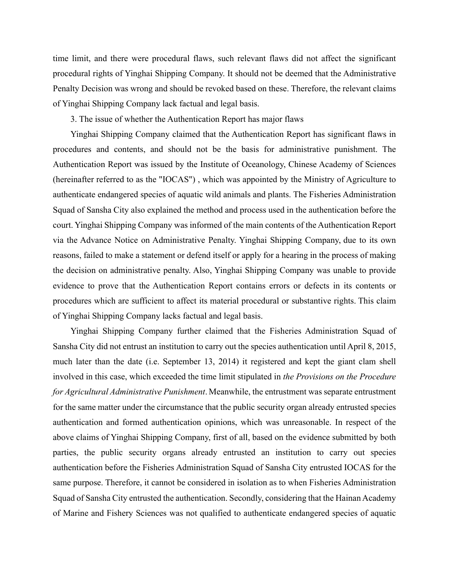time limit, and there were procedural flaws, such relevant flaws did not affect the significant procedural rights of Yinghai Shipping Company. It should not be deemed that the Administrative Penalty Decision was wrong and should be revoked based on these. Therefore, the relevant claims of Yinghai Shipping Company lack factual and legal basis.

3. The issue of whether the Authentication Report has major flaws

Yinghai Shipping Company claimed that the Authentication Report has significant flaws in procedures and contents, and should not be the basis for administrative punishment. The Authentication Report was issued by the Institute of Oceanology, Chinese Academy of Sciences (hereinafter referred to as the "IOCAS") , which was appointed by the Ministry of Agriculture to authenticate endangered species of aquatic wild animals and plants. The Fisheries Administration Squad of Sansha City also explained the method and process used in the authentication before the court. Yinghai Shipping Company was informed of the main contents of the Authentication Report via the Advance Notice on Administrative Penalty. Yinghai Shipping Company, due to its own reasons, failed to make a statement or defend itself or apply for a hearing in the process of making the decision on administrative penalty. Also, Yinghai Shipping Company was unable to provide evidence to prove that the Authentication Report contains errors or defects in its contents or procedures which are sufficient to affect its material procedural or substantive rights. This claim of Yinghai Shipping Company lacks factual and legal basis.

Yinghai Shipping Company further claimed that the Fisheries Administration Squad of Sansha City did not entrust an institution to carry out the species authentication until April 8, 2015, much later than the date (i.e. September 13, 2014) it registered and kept the giant clam shell involved in this case, which exceeded the time limit stipulated in *the Provisions on the Procedure for Agricultural Administrative Punishment*. Meanwhile, the entrustment was separate entrustment for the same matter under the circumstance that the public security organ already entrusted species authentication and formed authentication opinions, which was unreasonable. In respect of the above claims of Yinghai Shipping Company, first of all, based on the evidence submitted by both parties, the public security organs already entrusted an institution to carry out species authentication before the Fisheries Administration Squad of Sansha City entrusted IOCAS for the same purpose. Therefore, it cannot be considered in isolation as to when Fisheries Administration Squad of Sansha City entrusted the authentication. Secondly, considering that the Hainan Academy of Marine and Fishery Sciences was not qualified to authenticate endangered species of aquatic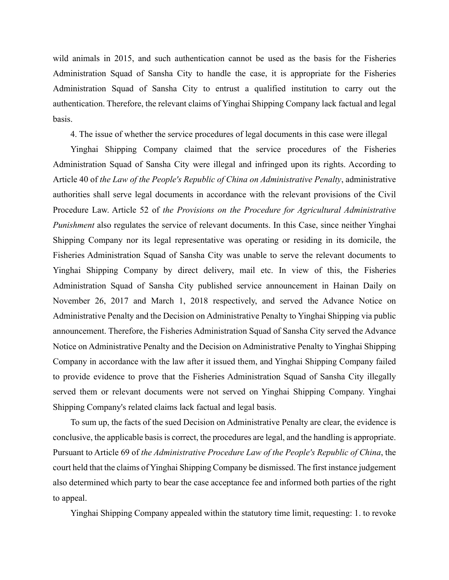wild animals in 2015, and such authentication cannot be used as the basis for the Fisheries Administration Squad of Sansha City to handle the case, it is appropriate for the Fisheries Administration Squad of Sansha City to entrust a qualified institution to carry out the authentication. Therefore, the relevant claims of Yinghai Shipping Company lack factual and legal basis.

4. The issue of whether the service procedures of legal documents in this case were illegal

Yinghai Shipping Company claimed that the service procedures of the Fisheries Administration Squad of Sansha City were illegal and infringed upon its rights. According to Article 40 of *the Law of the People's Republic of China on Administrative Penalty*, administrative authorities shall serve legal documents in accordance with the relevant provisions of the Civil Procedure Law. Article 52 of *the Provisions on the Procedure for Agricultural Administrative Punishment* also regulates the service of relevant documents. In this Case, since neither Yinghai Shipping Company nor its legal representative was operating or residing in its domicile, the Fisheries Administration Squad of Sansha City was unable to serve the relevant documents to Yinghai Shipping Company by direct delivery, mail etc. In view of this, the Fisheries Administration Squad of Sansha City published service announcement in Hainan Daily on November 26, 2017 and March 1, 2018 respectively, and served the Advance Notice on Administrative Penalty and the Decision on Administrative Penalty to Yinghai Shipping via public announcement. Therefore, the Fisheries Administration Squad of Sansha City served the Advance Notice on Administrative Penalty and the Decision on Administrative Penalty to Yinghai Shipping Company in accordance with the law after it issued them, and Yinghai Shipping Company failed to provide evidence to prove that the Fisheries Administration Squad of Sansha City illegally served them or relevant documents were not served on Yinghai Shipping Company. Yinghai Shipping Company's related claims lack factual and legal basis.

To sum up, the facts of the sued Decision on Administrative Penalty are clear, the evidence is conclusive, the applicable basis is correct, the procedures are legal, and the handling is appropriate. Pursuant to Article 69 of *the Administrative Procedure Law of the People's Republic of China*, the court held that the claims of Yinghai Shipping Company be dismissed. The first instance judgement also determined which party to bear the case acceptance fee and informed both parties of the right to appeal.

Yinghai Shipping Company appealed within the statutory time limit, requesting: 1. to revoke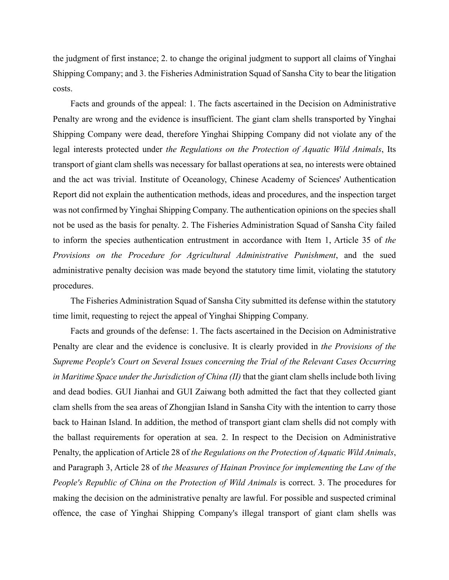the judgment of first instance; 2. to change the original judgment to support all claims of Yinghai Shipping Company; and 3. the Fisheries Administration Squad of Sansha City to bear the litigation costs.

Facts and grounds of the appeal: 1. The facts ascertained in the Decision on Administrative Penalty are wrong and the evidence is insufficient. The giant clam shells transported by Yinghai Shipping Company were dead, therefore Yinghai Shipping Company did not violate any of the legal interests protected under *the Regulations on the Protection of Aquatic Wild Animals*, Its transport of giant clam shells was necessary for ballast operations at sea, no interests were obtained and the act was trivial. Institute of Oceanology, Chinese Academy of Sciences' Authentication Report did not explain the authentication methods, ideas and procedures, and the inspection target was not confirmed by Yinghai Shipping Company. The authentication opinions on the species shall not be used as the basis for penalty. 2. The Fisheries Administration Squad of Sansha City failed to inform the species authentication entrustment in accordance with Item 1, Article 35 of *the Provisions on the Procedure for Agricultural Administrative Punishment*, and the sued administrative penalty decision was made beyond the statutory time limit, violating the statutory procedures.

The Fisheries Administration Squad of Sansha City submitted its defense within the statutory time limit, requesting to reject the appeal of Yinghai Shipping Company.

Facts and grounds of the defense: 1. The facts ascertained in the Decision on Administrative Penalty are clear and the evidence is conclusive. It is clearly provided in *the Provisions of the Supreme People's Court on Several Issues concerning the Trial of the Relevant Cases Occurring in Maritime Space under the Jurisdiction of China (II)* that the giant clam shells include both living and dead bodies. GUI Jianhai and GUI Zaiwang both admitted the fact that they collected giant clam shells from the sea areas of Zhongjian Island in Sansha City with the intention to carry those back to Hainan Island. In addition, the method of transport giant clam shells did not comply with the ballast requirements for operation at sea. 2. In respect to the Decision on Administrative Penalty, the application of Article 28 of *the Regulations on the Protection of Aquatic Wild Animals*, and Paragraph 3, Article 28 of *the Measures of Hainan Province for implementing the Law of the People's Republic of China on the Protection of Wild Animals* is correct. 3. The procedures for making the decision on the administrative penalty are lawful. For possible and suspected criminal offence, the case of Yinghai Shipping Company's illegal transport of giant clam shells was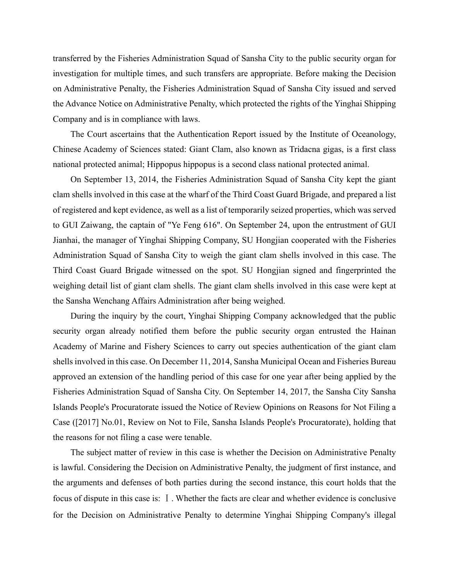transferred by the Fisheries Administration Squad of Sansha City to the public security organ for investigation for multiple times, and such transfers are appropriate. Before making the Decision on Administrative Penalty, the Fisheries Administration Squad of Sansha City issued and served the Advance Notice on Administrative Penalty, which protected the rights of the Yinghai Shipping Company and is in compliance with laws.

The Court ascertains that the Authentication Report issued by the Institute of Oceanology, Chinese Academy of Sciences stated: Giant Clam, also known as Tridacna gigas, is a first class national protected animal; Hippopus hippopus is a second class national protected animal.

On September 13, 2014, the Fisheries Administration Squad of Sansha City kept the giant clam shells involved in this case at the wharf of the Third Coast Guard Brigade, and prepared a list of registered and kept evidence, as well as a list of temporarily seized properties, which was served to GUI Zaiwang, the captain of "Ye Feng 616". On September 24, upon the entrustment of GUI Jianhai, the manager of Yinghai Shipping Company, SU Hongjian cooperated with the Fisheries Administration Squad of Sansha City to weigh the giant clam shells involved in this case. The Third Coast Guard Brigade witnessed on the spot. SU Hongjian signed and fingerprinted the weighing detail list of giant clam shells. The giant clam shells involved in this case were kept at the Sansha Wenchang Affairs Administration after being weighed.

During the inquiry by the court, Yinghai Shipping Company acknowledged that the public security organ already notified them before the public security organ entrusted the Hainan Academy of Marine and Fishery Sciences to carry out species authentication of the giant clam shells involved in this case. On December 11, 2014, Sansha Municipal Ocean and Fisheries Bureau approved an extension of the handling period of this case for one year after being applied by the Fisheries Administration Squad of Sansha City. On September 14, 2017, the Sansha City Sansha Islands People's Procuratorate issued the Notice of Review Opinions on Reasons for Not Filing a Case ([2017] No.01, Review on Not to File, Sansha Islands People's Procuratorate), holding that the reasons for not filing a case were tenable.

The subject matter of review in this case is whether the Decision on Administrative Penalty is lawful. Considering the Decision on Administrative Penalty, the judgment of first instance, and the arguments and defenses of both parties during the second instance, this court holds that the focus of dispute in this case is: Ⅰ. Whether the facts are clear and whether evidence is conclusive for the Decision on Administrative Penalty to determine Yinghai Shipping Company's illegal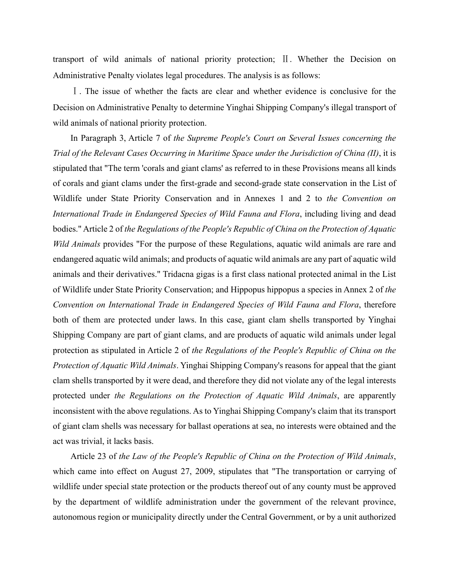transport of wild animals of national priority protection; Ⅱ. Whether the Decision on Administrative Penalty violates legal procedures. The analysis is as follows:

Ⅰ. The issue of whether the facts are clear and whether evidence is conclusive for the Decision on Administrative Penalty to determine Yinghai Shipping Company's illegal transport of wild animals of national priority protection.

In Paragraph 3, Article 7 of *the Supreme People's Court on Several Issues concerning the Trial of the Relevant Cases Occurring in Maritime Space under the Jurisdiction of China (II)*, it is stipulated that "The term 'corals and giant clams' as referred to in these Provisions means all kinds of corals and giant clams under the first-grade and second-grade state conservation in the List of Wildlife under State Priority Conservation and in Annexes 1 and 2 to *the Convention on International Trade in Endangered Species of Wild Fauna and Flora*, including living and dead bodies." Article 2 of *the Regulations of the People's Republic of China on the Protection of Aquatic Wild Animals* provides "For the purpose of these Regulations, aquatic wild animals are rare and endangered aquatic wild animals; and products of aquatic wild animals are any part of aquatic wild animals and their derivatives." Tridacna gigas is a first class national protected animal in the List of Wildlife under State Priority Conservation; and Hippopus hippopus a species in Annex 2 of *the Convention on International Trade in Endangered Species of Wild Fauna and Flora*, therefore both of them are protected under laws. In this case, giant clam shells transported by Yinghai Shipping Company are part of giant clams, and are products of aquatic wild animals under legal protection as stipulated in Article 2 of *the Regulations of the People's Republic of China on the Protection of Aquatic Wild Animals*. Yinghai Shipping Company's reasons for appeal that the giant clam shells transported by it were dead, and therefore they did not violate any of the legal interests protected under *the Regulations on the Protection of Aquatic Wild Animals*, are apparently inconsistent with the above regulations. As to Yinghai Shipping Company's claim that its transport of giant clam shells was necessary for ballast operations at sea, no interests were obtained and the act was trivial, it lacks basis.

Article 23 of *the Law of the People's Republic of China on the Protection of Wild Animals*, which came into effect on August 27, 2009, stipulates that "The transportation or carrying of wildlife under special state protection or the products thereof out of any county must be approved by the department of wildlife administration under the government of the relevant province, autonomous region or municipality directly under the Central Government, or by a unit authorized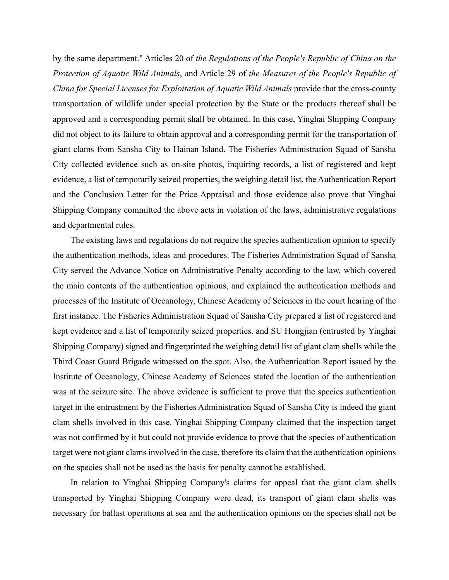by the same department." Articles 20 of *the Regulations of the People's Republic of China on the Protection of Aquatic Wild Animals*, and Article 29 of *the Measures of the People's Republic of China for Special Licenses for Exploitation of Aquatic Wild Animals* provide that the cross-county transportation of wildlife under special protection by the State or the products thereof shall be approved and a corresponding permit shall be obtained. In this case, Yinghai Shipping Company did not object to its failure to obtain approval and a corresponding permit for the transportation of giant clams from Sansha City to Hainan Island. The Fisheries Administration Squad of Sansha City collected evidence such as on-site photos, inquiring records, a list of registered and kept evidence, a list of temporarily seized properties, the weighing detail list, the Authentication Report and the Conclusion Letter for the Price Appraisal and those evidence also prove that Yinghai Shipping Company committed the above acts in violation of the laws, administrative regulations and departmental rules.

The existing laws and regulations do not require the species authentication opinion to specify the authentication methods, ideas and procedures. The Fisheries Administration Squad of Sansha City served the Advance Notice on Administrative Penalty according to the law, which covered the main contents of the authentication opinions, and explained the authentication methods and processes of the Institute of Oceanology, Chinese Academy of Sciences in the court hearing of the first instance. The Fisheries Administration Squad of Sansha City prepared a list of registered and kept evidence and a list of temporarily seized properties. and SU Hongjian (entrusted by Yinghai Shipping Company) signed and fingerprinted the weighing detail list of giant clam shells while the Third Coast Guard Brigade witnessed on the spot. Also, the Authentication Report issued by the Institute of Oceanology, Chinese Academy of Sciences stated the location of the authentication was at the seizure site. The above evidence is sufficient to prove that the species authentication target in the entrustment by the Fisheries Administration Squad of Sansha City is indeed the giant clam shells involved in this case. Yinghai Shipping Company claimed that the inspection target was not confirmed by it but could not provide evidence to prove that the species of authentication target were not giant clams involved in the case, therefore its claim that the authentication opinions on the species shall not be used as the basis for penalty cannot be established.

In relation to Yinghai Shipping Company's claims for appeal that the giant clam shells transported by Yinghai Shipping Company were dead, its transport of giant clam shells was necessary for ballast operations at sea and the authentication opinions on the species shall not be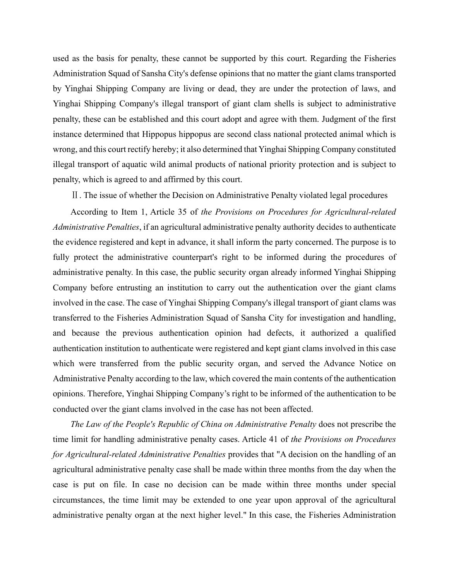used as the basis for penalty, these cannot be supported by this court. Regarding the Fisheries Administration Squad of Sansha City's defense opinions that no matter the giant clams transported by Yinghai Shipping Company are living or dead, they are under the protection of laws, and Yinghai Shipping Company's illegal transport of giant clam shells is subject to administrative penalty, these can be established and this court adopt and agree with them. Judgment of the first instance determined that Hippopus hippopus are second class national protected animal which is wrong, and this court rectify hereby; it also determined that Yinghai Shipping Company constituted illegal transport of aquatic wild animal products of national priority protection and is subject to penalty, which is agreed to and affirmed by this court.

Ⅱ. The issue of whether the Decision on Administrative Penalty violated legal procedures

According to Item 1, Article 35 of *the Provisions on Procedures for Agricultural-related Administrative Penalties*, if an agricultural administrative penalty authority decides to authenticate the evidence registered and kept in advance, it shall inform the party concerned. The purpose is to fully protect the administrative counterpart's right to be informed during the procedures of administrative penalty. In this case, the public security organ already informed Yinghai Shipping Company before entrusting an institution to carry out the authentication over the giant clams involved in the case. The case of Yinghai Shipping Company's illegal transport of giant clams was transferred to the Fisheries Administration Squad of Sansha City for investigation and handling, and because the previous authentication opinion had defects, it authorized a qualified authentication institution to authenticate were registered and kept giant clams involved in this case which were transferred from the public security organ, and served the Advance Notice on Administrative Penalty according to the law, which covered the main contents of the authentication opinions. Therefore, Yinghai Shipping Company's right to be informed of the authentication to be conducted over the giant clams involved in the case has not been affected.

*The Law of the People's Republic of China on Administrative Penalty* does not prescribe the time limit for handling administrative penalty cases. Article 41 of *the Provisions on Procedures for Agricultural-related Administrative Penalties* provides that "A decision on the handling of an agricultural administrative penalty case shall be made within three months from the day when the case is put on file. In case no decision can be made within three months under special circumstances, the time limit may be extended to one year upon approval of the agricultural administrative penalty organ at the next higher level." In this case, the Fisheries Administration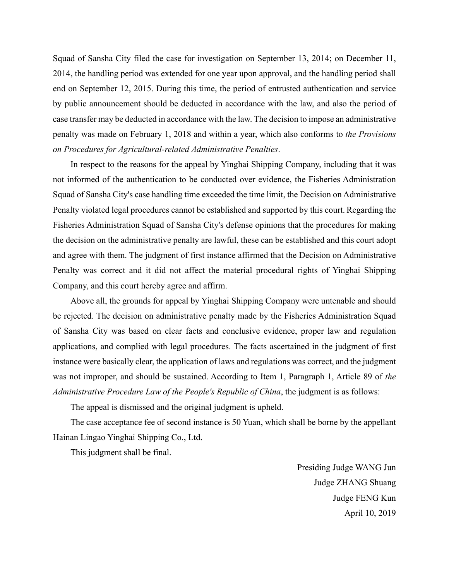Squad of Sansha City filed the case for investigation on September 13, 2014; on December 11, 2014, the handling period was extended for one year upon approval, and the handling period shall end on September 12, 2015. During this time, the period of entrusted authentication and service by public announcement should be deducted in accordance with the law, and also the period of case transfer may be deducted in accordance with the law. The decision to impose an administrative penalty was made on February 1, 2018 and within a year, which also conforms to *the Provisions on Procedures for Agricultural-related Administrative Penalties*.

In respect to the reasons for the appeal by Yinghai Shipping Company, including that it was not informed of the authentication to be conducted over evidence, the Fisheries Administration Squad of Sansha City's case handling time exceeded the time limit, the Decision on Administrative Penalty violated legal procedures cannot be established and supported by this court. Regarding the Fisheries Administration Squad of Sansha City's defense opinions that the procedures for making the decision on the administrative penalty are lawful, these can be established and this court adopt and agree with them. The judgment of first instance affirmed that the Decision on Administrative Penalty was correct and it did not affect the material procedural rights of Yinghai Shipping Company, and this court hereby agree and affirm.

Above all, the grounds for appeal by Yinghai Shipping Company were untenable and should be rejected. The decision on administrative penalty made by the Fisheries Administration Squad of Sansha City was based on clear facts and conclusive evidence, proper law and regulation applications, and complied with legal procedures. The facts ascertained in the judgment of first instance were basically clear, the application of laws and regulations was correct, and the judgment was not improper, and should be sustained. According to Item 1, Paragraph 1, Article 89 of *the Administrative Procedure Law of the People's Republic of China*, the judgment is as follows:

The appeal is dismissed and the original judgment is upheld.

The case acceptance fee of second instance is 50 Yuan, which shall be borne by the appellant Hainan Lingao Yinghai Shipping Co., Ltd.

This judgment shall be final.

Presiding Judge WANG Jun Judge ZHANG Shuang Judge FENG Kun April 10, 2019